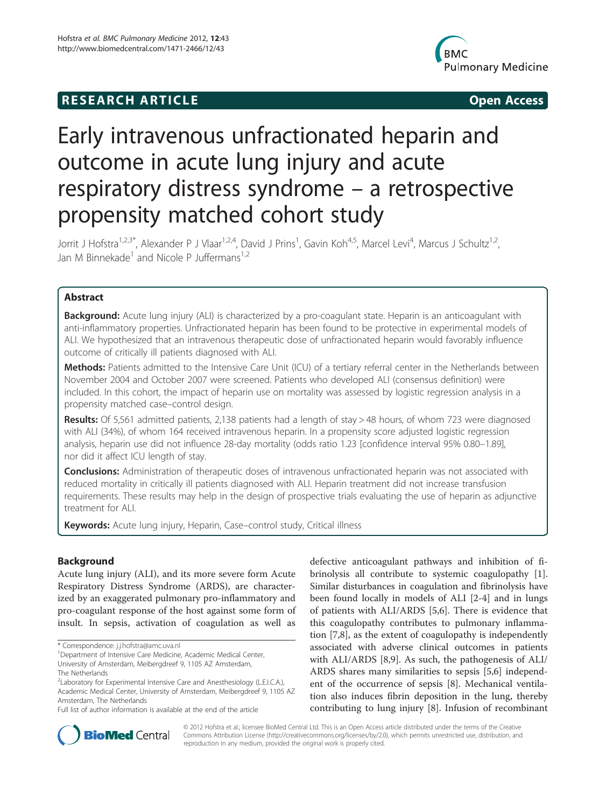## **RESEARCH ARTICLE Example 2014 CONSIDERING CONSIDERING CONSIDERING CONSIDERING CONSIDERING CONSIDERING CONSIDERING CONSIDERING CONSIDERING CONSIDERING CONSIDERING CONSIDERING CONSIDERING CONSIDERING CONSIDERING CONSIDE**



# Early intravenous unfractionated heparin and outcome in acute lung injury and acute respiratory distress syndrome – a retrospective propensity matched cohort study

Jorrit J Hofstra<sup>1,2,3\*</sup>, Alexander P J Vlaar<sup>1,2,4</sup>, David J Prins<sup>1</sup>, Gavin Koh<sup>4,5</sup>, Marcel Levi<sup>4</sup>, Marcus J Schultz<sup>1,2</sup>, Jan M Binnekade<sup>1</sup> and Nicole P Juffermans<sup>1,2</sup>

## Abstract

Background: Acute lung injury (ALI) is characterized by a pro-coagulant state. Heparin is an anticoagulant with anti-inflammatory properties. Unfractionated heparin has been found to be protective in experimental models of ALI. We hypothesized that an intravenous therapeutic dose of unfractionated heparin would favorably influence outcome of critically ill patients diagnosed with ALI.

Methods: Patients admitted to the Intensive Care Unit (ICU) of a tertiary referral center in the Netherlands between November 2004 and October 2007 were screened. Patients who developed ALI (consensus definition) were included. In this cohort, the impact of heparin use on mortality was assessed by logistic regression analysis in a propensity matched case–control design.

Results: Of 5,561 admitted patients, 2,138 patients had a length of stay > 48 hours, of whom 723 were diagnosed with ALI (34%), of whom 164 received intravenous heparin. In a propensity score adjusted logistic regression analysis, heparin use did not influence 28-day mortality (odds ratio 1.23 [confidence interval 95% 0.80–1.89], nor did it affect ICU length of stay.

**Conclusions:** Administration of therapeutic doses of intravenous unfractionated heparin was not associated with reduced mortality in critically ill patients diagnosed with ALI. Heparin treatment did not increase transfusion requirements. These results may help in the design of prospective trials evaluating the use of heparin as adjunctive treatment for ALI.

Keywords: Acute lung injury, Heparin, Case-control study, Critical illness

## Background

Acute lung injury (ALI), and its more severe form Acute Respiratory Distress Syndrome (ARDS), are characterized by an exaggerated pulmonary pro-inflammatory and pro-coagulant response of the host against some form of insult. In sepsis, activation of coagulation as well as

defective anticoagulant pathways and inhibition of fibrinolysis all contribute to systemic coagulopathy [1]. Similar disturbances in coagulation and fibrinolysis have been found locally in models of ALI [2-4] and in lungs of patients with ALI/ARDS [5,6]. There is evidence that this coagulopathy contributes to pulmonary inflammation [7,8], as the extent of coagulopathy is independently associated with adverse clinical outcomes in patients with ALI/ARDS [8,9]. As such, the pathogenesis of ALI/ ARDS shares many similarities to sepsis [5,6] independent of the occurrence of sepsis [8]. Mechanical ventilation also induces fibrin deposition in the lung, thereby contributing to lung injury [8]. Infusion of recombinant



© 2012 Hofstra et al.; licensee BioMed Central Ltd. This is an Open Access article distributed under the terms of the Creative Commons Attribution License (http://creativecommons.org/licenses/by/2.0), which permits unrestricted use, distribution, and reproduction in any medium, provided the original work is properly cited.

<sup>\*</sup> Correspondence: j.j.hofstra@amc.uva.nl <sup>1</sup>

<sup>&</sup>lt;sup>1</sup>Department of Intensive Care Medicine, Academic Medical Center, University of Amsterdam, Meibergdreef 9, 1105 AZ Amsterdam,

The Netherlands

<sup>&</sup>lt;sup>2</sup> Laboratory for Experimental Intensive Care and Anesthesiology (L.E.I.C.A.), Academic Medical Center, University of Amsterdam, Meibergdreef 9, 1105 AZ Amsterdam, The Netherlands

Full list of author information is available at the end of the article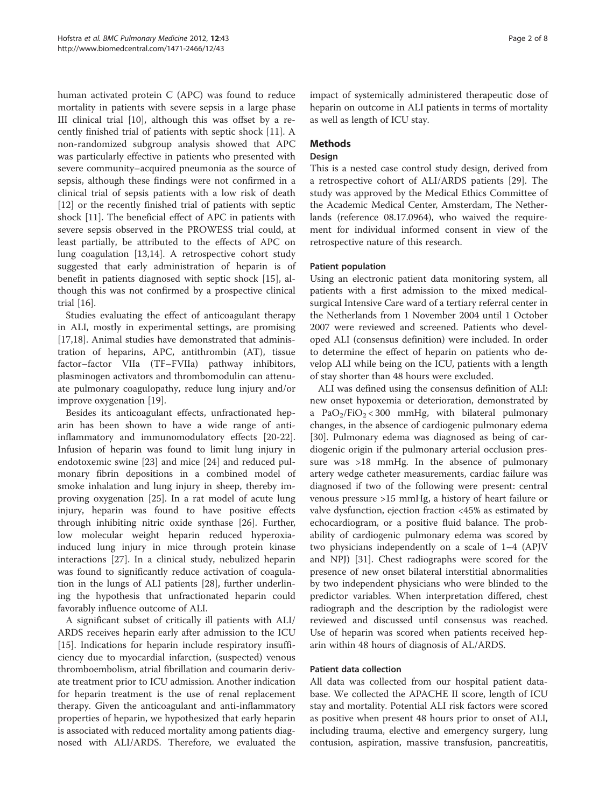human activated protein C (APC) was found to reduce mortality in patients with severe sepsis in a large phase III clinical trial [10], although this was offset by a recently finished trial of patients with septic shock [11]. A non-randomized subgroup analysis showed that APC was particularly effective in patients who presented with severe community–acquired pneumonia as the source of sepsis, although these findings were not confirmed in a clinical trial of sepsis patients with a low risk of death [12] or the recently finished trial of patients with septic shock [11]. The beneficial effect of APC in patients with severe sepsis observed in the PROWESS trial could, at least partially, be attributed to the effects of APC on lung coagulation [13,14]. A retrospective cohort study suggested that early administration of heparin is of benefit in patients diagnosed with septic shock [15], although this was not confirmed by a prospective clinical trial [16].

Studies evaluating the effect of anticoagulant therapy in ALI, mostly in experimental settings, are promising [17,18]. Animal studies have demonstrated that administration of heparins, APC, antithrombin (AT), tissue factor–factor VIIa (TF–FVIIa) pathway inhibitors, plasminogen activators and thrombomodulin can attenuate pulmonary coagulopathy, reduce lung injury and/or improve oxygenation [19].

Besides its anticoagulant effects, unfractionated heparin has been shown to have a wide range of antiinflammatory and immunomodulatory effects [20-22]. Infusion of heparin was found to limit lung injury in endotoxemic swine [23] and mice [24] and reduced pulmonary fibrin depositions in a combined model of smoke inhalation and lung injury in sheep, thereby improving oxygenation [25]. In a rat model of acute lung injury, heparin was found to have positive effects through inhibiting nitric oxide synthase [26]. Further, low molecular weight heparin reduced hyperoxiainduced lung injury in mice through protein kinase interactions [27]. In a clinical study, nebulized heparin was found to significantly reduce activation of coagulation in the lungs of ALI patients [28], further underlining the hypothesis that unfractionated heparin could favorably influence outcome of ALI.

A significant subset of critically ill patients with ALI/ ARDS receives heparin early after admission to the ICU [15]. Indications for heparin include respiratory insufficiency due to myocardial infarction, (suspected) venous thromboembolism, atrial fibrillation and coumarin derivate treatment prior to ICU admission. Another indication for heparin treatment is the use of renal replacement therapy. Given the anticoagulant and anti-inflammatory properties of heparin, we hypothesized that early heparin is associated with reduced mortality among patients diagnosed with ALI/ARDS. Therefore, we evaluated the impact of systemically administered therapeutic dose of heparin on outcome in ALI patients in terms of mortality as well as length of ICU stay.

## Methods

## Design

This is a nested case control study design, derived from a retrospective cohort of ALI/ARDS patients [29]. The study was approved by the Medical Ethics Committee of the Academic Medical Center, Amsterdam, The Netherlands (reference 08.17.0964), who waived the requirement for individual informed consent in view of the retrospective nature of this research.

## Patient population

Using an electronic patient data monitoring system, all patients with a first admission to the mixed medicalsurgical Intensive Care ward of a tertiary referral center in the Netherlands from 1 November 2004 until 1 October 2007 were reviewed and screened. Patients who developed ALI (consensus definition) were included. In order to determine the effect of heparin on patients who develop ALI while being on the ICU, patients with a length of stay shorter than 48 hours were excluded.

ALI was defined using the consensus definition of ALI: new onset hypoxemia or deterioration, demonstrated by a Pa $O_2/FiO_2$  < 300 mmHg, with bilateral pulmonary changes, in the absence of cardiogenic pulmonary edema [30]. Pulmonary edema was diagnosed as being of cardiogenic origin if the pulmonary arterial occlusion pressure was >18 mmHg. In the absence of pulmonary artery wedge catheter measurements, cardiac failure was diagnosed if two of the following were present: central venous pressure >15 mmHg, a history of heart failure or valve dysfunction, ejection fraction <45% as estimated by echocardiogram, or a positive fluid balance. The probability of cardiogenic pulmonary edema was scored by two physicians independently on a scale of 1–4 (APJV and NPJ) [31]. Chest radiographs were scored for the presence of new onset bilateral interstitial abnormalities by two independent physicians who were blinded to the predictor variables. When interpretation differed, chest radiograph and the description by the radiologist were reviewed and discussed until consensus was reached. Use of heparin was scored when patients received heparin within 48 hours of diagnosis of AL/ARDS.

## Patient data collection

All data was collected from our hospital patient database. We collected the APACHE II score, length of ICU stay and mortality. Potential ALI risk factors were scored as positive when present 48 hours prior to onset of ALI, including trauma, elective and emergency surgery, lung contusion, aspiration, massive transfusion, pancreatitis,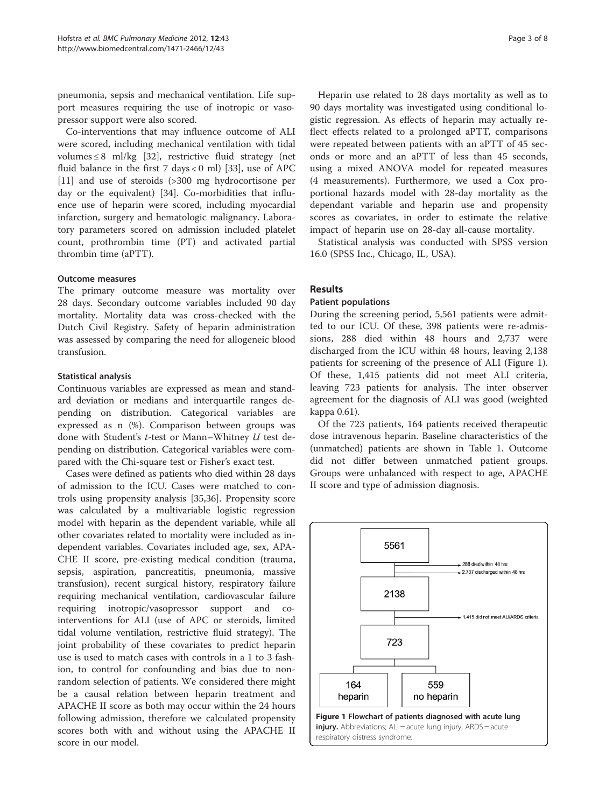pneumonia, sepsis and mechanical ventilation. Life support measures requiring the use of inotropic or vasopressor support were also scored.

Co-interventions that may influence outcome of ALI were scored, including mechanical ventilation with tidal volumes  $\leq 8$  ml/kg [32], restrictive fluid strategy (net fluid balance in the first  $7 \text{ days} < 0 \text{ ml}$  [33], use of APC [11] and use of steroids (>300 mg hydrocortisone per day or the equivalent) [34]. Co-morbidities that influence use of heparin were scored, including myocardial infarction, surgery and hematologic malignancy. Laboratory parameters scored on admission included platelet count, prothrombin time (PT) and activated partial thrombin time (aPTT).

#### Outcome measures

The primary outcome measure was mortality over 28 days. Secondary outcome variables included 90 day mortality. Mortality data was cross-checked with the Dutch Civil Registry. Safety of heparin administration was assessed by comparing the need for allogeneic blood transfusion.

#### Statistical analysis

Continuous variables are expressed as mean and standard deviation or medians and interquartile ranges depending on distribution. Categorical variables are expressed as n (%). Comparison between groups was done with Student's t-test or Mann–Whitney U test depending on distribution. Categorical variables were compared with the Chi-square test or Fisher's exact test.

Cases were defined as patients who died within 28 days of admission to the ICU. Cases were matched to controls using propensity analysis [35,36]. Propensity score was calculated by a multivariable logistic regression model with heparin as the dependent variable, while all other covariates related to mortality were included as independent variables. Covariates included age, sex, APA-CHE II score, pre-existing medical condition (trauma, sepsis, aspiration, pancreatitis, pneumonia, massive transfusion), recent surgical history, respiratory failure requiring mechanical ventilation, cardiovascular failure requiring inotropic/vasopressor support and cointerventions for ALI (use of APC or steroids, limited tidal volume ventilation, restrictive fluid strategy). The joint probability of these covariates to predict heparin use is used to match cases with controls in a 1 to 3 fashion, to control for confounding and bias due to nonrandom selection of patients. We considered there might be a causal relation between heparin treatment and APACHE II score as both may occur within the 24 hours following admission, therefore we calculated propensity scores both with and without using the APACHE II score in our model.

Heparin use related to 28 days mortality as well as to 90 days mortality was investigated using conditional logistic regression. As effects of heparin may actually reflect effects related to a prolonged aPTT, comparisons were repeated between patients with an aPTT of 45 seconds or more and an aPTT of less than 45 seconds, using a mixed ANOVA model for repeated measures (4 measurements). Furthermore, we used a Cox proportional hazards model with 28-day mortality as the dependant variable and heparin use and propensity scores as covariates, in order to estimate the relative impact of heparin use on 28-day all-cause mortality.

Statistical analysis was conducted with SPSS version 16.0 (SPSS Inc., Chicago, IL, USA).

## Results

#### Patient populations

During the screening period, 5,561 patients were admitted to our ICU. Of these, 398 patients were re-admissions, 288 died within 48 hours and 2,737 were discharged from the ICU within 48 hours, leaving 2,138 patients for screening of the presence of ALI (Figure 1). Of these, 1,415 patients did not meet ALI criteria, leaving 723 patients for analysis. The inter observer agreement for the diagnosis of ALI was good (weighted kappa 0.61).

Of the 723 patients, 164 patients received therapeutic dose intravenous heparin. Baseline characteristics of the (unmatched) patients are shown in Table 1. Outcome did not differ between unmatched patient groups. Groups were unbalanced with respect to age, APACHE II score and type of admission diagnosis.

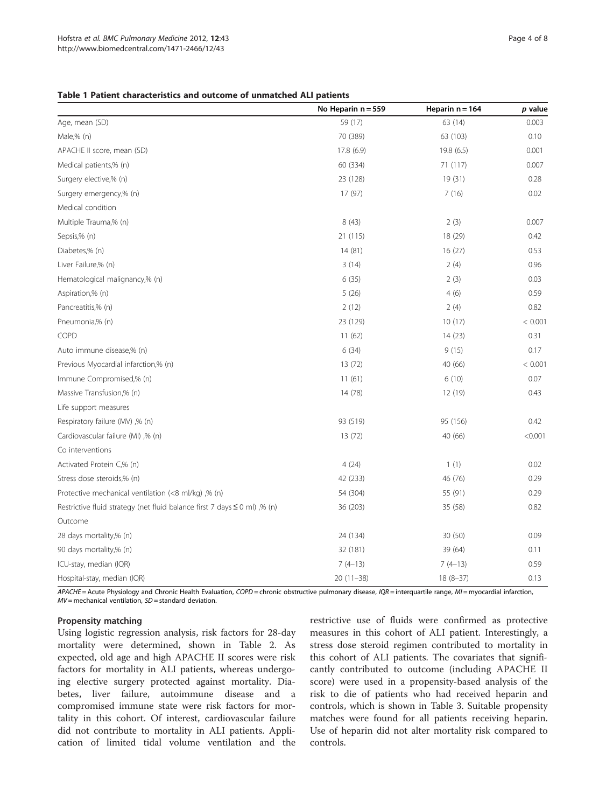#### Table 1 Patient characteristics and outcome of unmatched ALI patients

|                                                                           | No Heparin $n = 559$ | Heparin $n = 164$ | p value |
|---------------------------------------------------------------------------|----------------------|-------------------|---------|
| Age, mean (SD)                                                            | 59 (17)              | 63 (14)           | 0.003   |
| Male,% (n)                                                                | 70 (389)             | 63 (103)          | 0.10    |
| APACHE II score, mean (SD)                                                | 17.8 (6.9)           | 19.8 (6.5)        | 0.001   |
| Medical patients,% (n)                                                    | 60 (334)             | 71 (117)          | 0.007   |
| Surgery elective,% (n)                                                    | 23 (128)             | 19(31)            | 0.28    |
| Surgery emergency,% (n)                                                   | 17 (97)              | 7(16)             | 0.02    |
| Medical condition                                                         |                      |                   |         |
| Multiple Trauma,% (n)                                                     | 8(43)                | 2(3)              | 0.007   |
| Sepsis,% (n)                                                              | 21 (115)             | 18 (29)           | 0.42    |
| Diabetes,% (n)                                                            | 14(81)               | 16(27)            | 0.53    |
| Liver Failure,% (n)                                                       | 3(14)                | 2(4)              | 0.96    |
| Hematological malignancy,% (n)                                            | 6(35)                | 2(3)              | 0.03    |
| Aspiration,% (n)                                                          | 5(26)                | 4(6)              | 0.59    |
| Pancreatitis,% (n)                                                        | 2(12)                | 2(4)              | 0.82    |
| Pneumonia,% (n)                                                           | 23 (129)             | 10(17)            | < 0.001 |
| COPD                                                                      | 11(62)               | 14(23)            | 0.31    |
| Auto immune disease,% (n)                                                 | 6(34)                | 9(15)             | 0.17    |
| Previous Myocardial infarction,% (n)                                      | 13(72)               | 40 (66)           | < 0.001 |
| Immune Compromised,% (n)                                                  | 11(61)               | 6(10)             | 0.07    |
| Massive Transfusion,% (n)                                                 | 14 (78)              | 12 (19)           | 0.43    |
| Life support measures                                                     |                      |                   |         |
| Respiratory failure (MV) ,% (n)                                           | 93 (519)             | 95 (156)          | 0.42    |
| Cardiovascular failure (MI) ,% (n)                                        | 13(72)               | 40 (66)           | < 0.001 |
| Co interventions                                                          |                      |                   |         |
| Activated Protein C,% (n)                                                 | 4(24)                | 1(1)              | 0.02    |
| Stress dose steroids,% (n)                                                | 42 (233)             | 46 (76)           | 0.29    |
| Protective mechanical ventilation (<8 ml/kg),% (n)                        | 54 (304)             | 55 (91)           | 0.29    |
| Restrictive fluid strategy (net fluid balance first 7 days ≤ 0 ml) ,% (n) | 36 (203)             | 35 (58)           | 0.82    |
| Outcome                                                                   |                      |                   |         |
| 28 days mortality,% (n)                                                   | 24 (134)             | 30 (50)           | 0.09    |
| 90 days mortality,% (n)                                                   | 32 (181)             | 39 (64)           | 0.11    |
| ICU-stay, median (IQR)                                                    | $7(4-13)$            | $7(4-13)$         | 0.59    |
| Hospital-stay, median (IQR)                                               | $20(11-38)$          | $18(8-37)$        | 0.13    |

APACHE = Acute Physiology and Chronic Health Evaluation, COPD = chronic obstructive pulmonary disease, IQR = interquartile range, MI = myocardial infarction,  $MV =$  mechanical ventilation,  $SD =$  standard deviation.

#### Propensity matching

Using logistic regression analysis, risk factors for 28-day mortality were determined, shown in Table 2. As expected, old age and high APACHE II scores were risk factors for mortality in ALI patients, whereas undergoing elective surgery protected against mortality. Diabetes, liver failure, autoimmune disease and a compromised immune state were risk factors for mortality in this cohort. Of interest, cardiovascular failure did not contribute to mortality in ALI patients. Application of limited tidal volume ventilation and the

restrictive use of fluids were confirmed as protective measures in this cohort of ALI patient. Interestingly, a stress dose steroid regimen contributed to mortality in this cohort of ALI patients. The covariates that significantly contributed to outcome (including APACHE II score) were used in a propensity-based analysis of the risk to die of patients who had received heparin and controls, which is shown in Table 3. Suitable propensity matches were found for all patients receiving heparin. Use of heparin did not alter mortality risk compared to controls.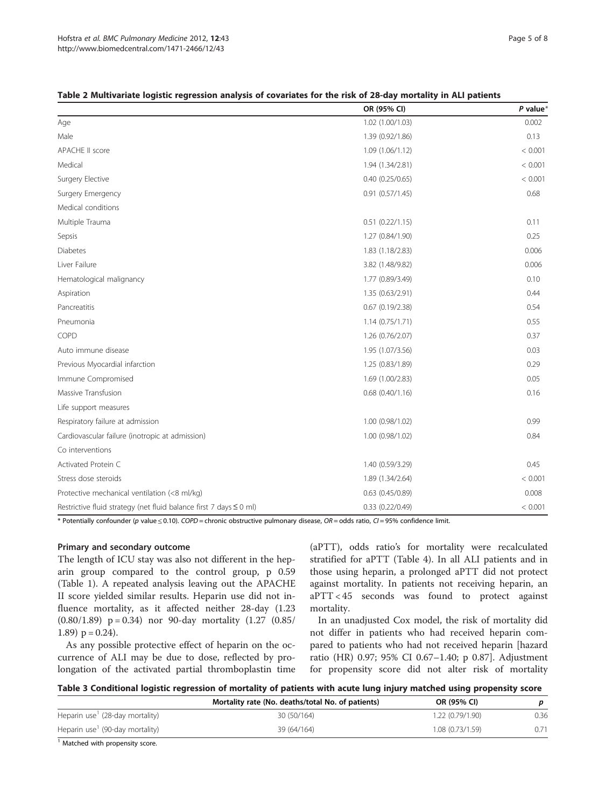|                                                                    | OR (95% CI)          | P value* |
|--------------------------------------------------------------------|----------------------|----------|
| Age                                                                | 1.02 (1.00/1.03)     | 0.002    |
| Male                                                               | 1.39 (0.92/1.86)     | 0.13     |
| <b>APACHE II score</b>                                             | 1.09(1.06/1.12)      | < 0.001  |
| Medical                                                            | 1.94 (1.34/2.81)     | < 0.001  |
| Surgery Elective                                                   | 0.40(0.25/0.65)      | < 0.001  |
| Surgery Emergency                                                  | $0.91$ $(0.57/1.45)$ | 0.68     |
| Medical conditions                                                 |                      |          |
| Multiple Trauma                                                    | $0.51$ $(0.22/1.15)$ | 0.11     |
| Sepsis                                                             | 1.27 (0.84/1.90)     | 0.25     |
| <b>Diabetes</b>                                                    | 1.83 (1.18/2.83)     | 0.006    |
| Liver Failure                                                      | 3.82 (1.48/9.82)     | 0.006    |
| Hematological malignancy                                           | 1.77 (0.89/3.49)     | 0.10     |
| Aspiration                                                         | 1.35 (0.63/2.91)     | 0.44     |
| Pancreatitis                                                       | $0.67$ (0.19/2.38)   | 0.54     |
| Pneumonia                                                          | 1.14 (0.75/1.71)     | 0.55     |
| COPD                                                               | 1.26 (0.76/2.07)     | 0.37     |
| Auto immune disease                                                | 1.95 (1.07/3.56)     | 0.03     |
| Previous Myocardial infarction                                     | 1.25 (0.83/1.89)     | 0.29     |
| Immune Compromised                                                 | 1.69 (1.00/2.83)     | 0.05     |
| Massive Transfusion                                                | $0.68$ $(0.40/1.16)$ | 0.16     |
| Life support measures                                              |                      |          |
| Respiratory failure at admission                                   | 1.00 (0.98/1.02)     | 0.99     |
| Cardiovascular failure (inotropic at admission)                    | 1.00 (0.98/1.02)     | 0.84     |
| Co interventions                                                   |                      |          |
| Activated Protein C                                                | 1.40 (0.59/3.29)     | 0.45     |
| Stress dose steroids                                               | 1.89 (1.34/2.64)     | < 0.001  |
| Protective mechanical ventilation (<8 ml/kg)                       | $0.63$ $(0.45/0.89)$ | 0.008    |
| Restrictive fluid strategy (net fluid balance first 7 days ≤ 0 ml) | $0.33$ $(0.22/0.49)$ | < 0.001  |

## Table 2 Multivariate logistic regression analysis of covariates for the risk of 28-day mortality in ALI patients

\* Potentially confounder (p value ≤ 0.10). COPD = chronic obstructive pulmonary disease, OR = odds ratio, CI = 95% confidence limit.

#### Primary and secondary outcome

The length of ICU stay was also not different in the heparin group compared to the control group, p 0.59 (Table 1). A repeated analysis leaving out the APACHE II score yielded similar results. Heparin use did not influence mortality, as it affected neither 28-day (1.23  $(0.80/1.89)$  p = 0.34) nor 90-day mortality  $(1.27 \ (0.85/$ 1.89)  $p = 0.24$ .

As any possible protective effect of heparin on the occurrence of ALI may be due to dose, reflected by prolongation of the activated partial thromboplastin time (aPTT), odds ratio's for mortality were recalculated stratified for aPTT (Table 4). In all ALI patients and in those using heparin, a prolonged aPTT did not protect against mortality. In patients not receiving heparin, an aPTT < 45 seconds was found to protect against mortality.

In an unadjusted Cox model, the risk of mortality did not differ in patients who had received heparin compared to patients who had not received heparin [hazard ratio (HR) 0.97; 95% CI 0.67–1.40; p 0.87]. Adjustment for propensity score did not alter risk of mortality

| Table 3 Conditional logistic regression of mortality of patients with acute lung injury matched using propensity score |  |  |  |
|------------------------------------------------------------------------------------------------------------------------|--|--|--|
|                                                                                                                        |  |  |  |

|                                             | Mortality rate (No. deaths/total No. of patients) | OR (95% CI)      |      |
|---------------------------------------------|---------------------------------------------------|------------------|------|
| Heparin use (28-day mortality)              | 30 (50/164)                                       | 1.22 (0.79/1.90) | 0.36 |
| Heparin use <sup>1</sup> (90-day mortality) | 39 (64/164)                                       | 1.08 (0.73/1.59) | 0.71 |

<sup>1</sup> Matched with propensity score.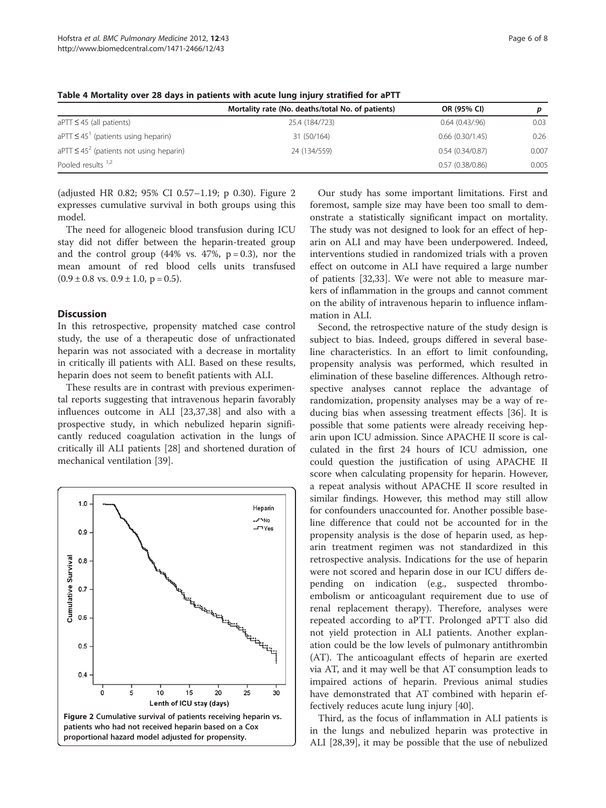|                                                      | Mortality rate (No. deaths/total No. of patients) | OR (95% CI)          | D     |
|------------------------------------------------------|---------------------------------------------------|----------------------|-------|
| $aPTT \leq 45$ (all patients)                        | 25.4 (184/723)                                    | 0.64(0.43/0.96)      | 0.03  |
| $aPTT \leq 45$ <sup>1</sup> (patients using heparin) | 31 (50/164)                                       | $0.66$ $(0.30/1.45)$ | 0.26  |
| $aPTT \leq 45^2$ (patients not using heparin)        | 24 (134/559)                                      | 0.54(0.34/0.87)      | 0.007 |
| Pooled results <sup>1,2</sup>                        |                                                   | 0.57(0.38/0.86)      | 0.005 |

Table 4 Mortality over 28 days in patients with acute lung injury stratified for aPTT

(adjusted HR 0.82; 95% CI 0.57–1.19; p 0.30). Figure 2 expresses cumulative survival in both groups using this model.

The need for allogeneic blood transfusion during ICU stay did not differ between the heparin-treated group and the control group  $(44\% \text{ vs. } 47\%, \text{ p} = 0.3)$ , nor the mean amount of red blood cells units transfused  $(0.9 \pm 0.8 \text{ vs. } 0.9 \pm 1.0, \text{ p} = 0.5).$ 

#### **Discussion**

In this retrospective, propensity matched case control study, the use of a therapeutic dose of unfractionated heparin was not associated with a decrease in mortality in critically ill patients with ALI. Based on these results, heparin does not seem to benefit patients with ALI.

These results are in contrast with previous experimental reports suggesting that intravenous heparin favorably influences outcome in ALI [23,37,38] and also with a prospective study, in which nebulized heparin significantly reduced coagulation activation in the lungs of critically ill ALI patients [28] and shortened duration of mechanical ventilation [39].



Our study has some important limitations. First and foremost, sample size may have been too small to demonstrate a statistically significant impact on mortality. The study was not designed to look for an effect of heparin on ALI and may have been underpowered. Indeed, interventions studied in randomized trials with a proven effect on outcome in ALI have required a large number of patients [32,33]. We were not able to measure markers of inflammation in the groups and cannot comment on the ability of intravenous heparin to influence inflammation in ALI.

Second, the retrospective nature of the study design is subject to bias. Indeed, groups differed in several baseline characteristics. In an effort to limit confounding, propensity analysis was performed, which resulted in elimination of these baseline differences. Although retrospective analyses cannot replace the advantage of randomization, propensity analyses may be a way of reducing bias when assessing treatment effects [36]. It is possible that some patients were already receiving heparin upon ICU admission. Since APACHE II score is calculated in the first 24 hours of ICU admission, one could question the justification of using APACHE II score when calculating propensity for heparin. However, a repeat analysis without APACHE II score resulted in similar findings. However, this method may still allow for confounders unaccounted for. Another possible baseline difference that could not be accounted for in the propensity analysis is the dose of heparin used, as heparin treatment regimen was not standardized in this retrospective analysis. Indications for the use of heparin were not scored and heparin dose in our ICU differs depending on indication (e.g., suspected thromboembolism or anticoagulant requirement due to use of renal replacement therapy). Therefore, analyses were repeated according to aPTT. Prolonged aPTT also did not yield protection in ALI patients. Another explanation could be the low levels of pulmonary antithrombin (AT). The anticoagulant effects of heparin are exerted via AT, and it may well be that AT consumption leads to impaired actions of heparin. Previous animal studies have demonstrated that AT combined with heparin effectively reduces acute lung injury [40].

Third, as the focus of inflammation in ALI patients is in the lungs and nebulized heparin was protective in ALI [28,39], it may be possible that the use of nebulized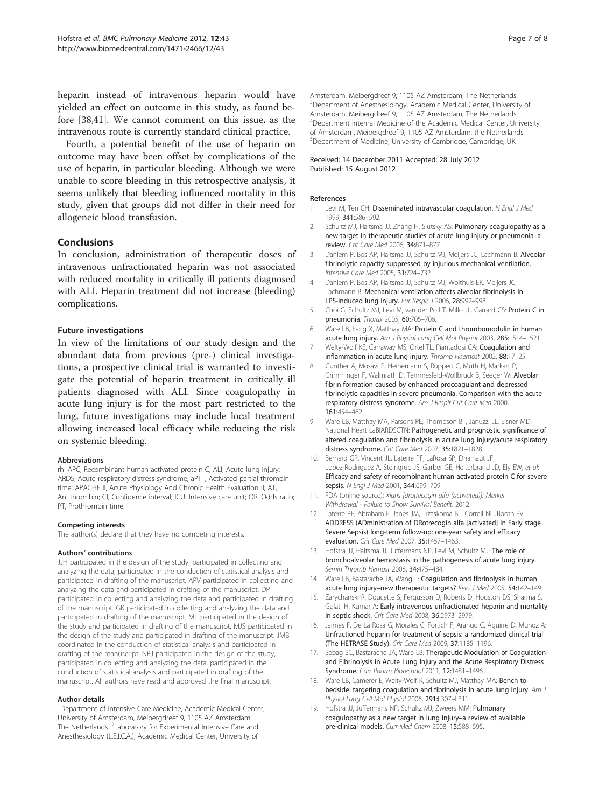heparin instead of intravenous heparin would have yielded an effect on outcome in this study, as found before [38,41]. We cannot comment on this issue, as the intravenous route is currently standard clinical practice.

Fourth, a potential benefit of the use of heparin on outcome may have been offset by complications of the use of heparin, in particular bleeding. Although we were unable to score bleeding in this retrospective analysis, it seems unlikely that bleeding influenced mortality in this study, given that groups did not differ in their need for allogeneic blood transfusion.

## Conclusions

In conclusion, administration of therapeutic doses of intravenous unfractionated heparin was not associated with reduced mortality in critically ill patients diagnosed with ALI. Heparin treatment did not increase (bleeding) complications.

#### Future investigations

In view of the limitations of our study design and the abundant data from previous (pre-) clinical investigations, a prospective clinical trial is warranted to investigate the potential of heparin treatment in critically ill patients diagnosed with ALI. Since coagulopathy in acute lung injury is for the most part restricted to the lung, future investigations may include local treatment allowing increased local efficacy while reducing the risk on systemic bleeding.

#### Abbreviations

rh–APC, Recombinant human activated protein C; ALI, Acute lung injury; ARDS, Acute respiratory distress syndrome; aPTT, Activated partial thrombin time; APACHE II, Acute Physiology And Chronic Health Evaluation II; AT, Antithrombin; CI, Confidence interval; ICU, Intensive care unit; OR, Odds ratio; PT, Prothrombin time.

#### Competing interests

The author(s) declare that they have no competing interests.

#### Authors' contributions

JJH participated in the design of the study, participated in collecting and analyzing the data, participated in the conduction of statistical analysis and participated in drafting of the manuscript. APV participated in collecting and analyzing the data and participated in drafting of the manuscript. DP participated in collecting and analyzing the data and participated in drafting of the manuscript. GK participated in collecting and analyzing the data and participated in drafting of the manuscript. ML participated in the design of the study and participated in drafting of the manuscript. MJS participated in the design of the study and participated in drafting of the manuscript. JMB coordinated in the conduction of statistical analysis and participated in drafting of the manuscript. NPJ participated in the design of the study, participated in collecting and analyzing the data, participated in the conduction of statistical analysis and participated in drafting of the manuscript. All authors have read and approved the final manuscript.

#### Author details

<sup>1</sup>Department of Intensive Care Medicine, Academic Medical Center, University of Amsterdam, Meibergdreef 9, 1105 AZ Amsterdam, The Netherlands. <sup>2</sup>Laboratory for Experimental Intensive Care and Anesthesiology (L.E.I.C.A.), Academic Medical Center, University of

Amsterdam, Meibergdreef 9, 1105 AZ Amsterdam, The Netherlands. <sup>3</sup>Department of Anesthesiology, Academic Medical Center, University of Amsterdam, Meibergdreef 9, 1105 AZ Amsterdam, The Netherlands. <sup>4</sup>Department Internal Medicine of the Academic Medical Center, University of Amsterdam, Meibergdreef 9, 1105 AZ Amsterdam, the Netherlands. 5 Department of Medicine, University of Cambridge, Cambridge, UK.

#### Received: 14 December 2011 Accepted: 28 July 2012 Published: 15 August 2012

#### References

- 1. Levi M, Ten CH: Disseminated intravascular coagulation. N Engl J Med 1999, 341:586–592.
- 2. Schultz MJ, Haitsma JJ, Zhang H, Slutsky AS: Pulmonary coagulopathy as a new target in therapeutic studies of acute lung injury or pneumonia–a review. Crit Care Med 2006, 34:871–877.
- 3. Dahlem P, Bos AP, Haitsma JJ, Schultz MJ, Meijers JC, Lachmann B: Alveolar fibrinolytic capacity suppressed by injurious mechanical ventilation. Intensive Care Med 2005, 31:724–732.
- 4. Dahlem P, Bos AP, Haitsma JJ, Schultz MJ, Wolthuis EK, Meijers JC, Lachmann B: Mechanical ventilation affects alveolar fibrinolysis in LPS-induced lung injury. Eur Respir J 2006, 28:992-998.
- 5. Choi G, Schultz MJ, Levi M, van der Poll T, Millo JL, Garrard CS: Protein C in pneumonia. Thorax 2005, 60:705–706.
- 6. Ware LB, Fang X, Matthay MA: Protein C and thrombomodulin in human acute lung injury. Am J Physiol Lung Cell Mol Physiol 2003, 285:L514-L521.
- Welty-Wolf KE, Carraway MS, Ortel TL, Piantadosi CA: Coagulation and inflammation in acute lung injury. Thromb Haemost 2002, 88:17–25.
- 8. Gunther A, Mosavi P, Heinemann S, Ruppert C, Muth H, Markart P Grimminger F, Walmrath D, Temmesfeld-Wollbruck B, Seeger W: Alveolar fibrin formation caused by enhanced procoagulant and depressed fibrinolytic capacities in severe pneumonia. Comparison with the acute respiratory distress syndrome. Am J Respir Crit Care Med 2000, 161:454–462.
- 9. Ware LB, Matthay MA, Parsons PE, Thompson BT, Januzzi JL, Eisner MD, National Heart LaBIARDSCTN: Pathogenetic and prognostic significance of altered coagulation and fibrinolysis in acute lung injury/acute respiratory distress syndrome. Crit Care Med 2007, 35:1821–1828.
- 10. Bernard GR, Vincent JL, Laterre PF, LaRosa SP, Dhainaut JF, Lopez-Rodriguez A, Steingrub JS, Garber GE, Helterbrand JD, Ely EW, et al: Efficacy and safety of recombinant human activated protein C for severe sepsis. N Engl J Med 2001, 344:699-709.
- 11. FDA (online source): Xigris [drotrecogin alfa (activated)]: Market Withdrawal - Failure to Show Survival Benefit. 2012.
- 12. Laterre PF, Abraham E, Janes JM, Trzaskoma BL, Correll NL, Booth FV: ADDRESS (ADministration of DRotrecogin alfa [activated] in Early stage Severe Sepsis) long-term follow-up: one-year safety and efficacy evaluation. Crit Care Med 2007, 35:1457–1463.
- 13. Hofstra JJ, Haitsma JJ, Juffermans NP, Levi M, Schultz MJ: The role of bronchoalveolar hemostasis in the pathogenesis of acute lung injury. Semin Thromb Hemost 2008, 34:475–484.
- 14. Ware LB, Bastarache JA, Wang L: Coagulation and fibrinolysis in human acute lung injury–new therapeutic targets? Keio J Med 2005, 54:142-149.
- 15. Zarychanski R, Doucette S, Fergusson D, Roberts D, Houston DS, Sharma S, Gulati H, Kumar A: Early intravenous unfractionated heparin and mortality in septic shock. Crit Care Med 2008, 36:2973–2979.
- 16. Jaimes F, De La Rosa G, Morales C, Fortich F, Arango C, Aguirre D, Muñoz A: Unfractioned heparin for treatment of sepsis: a randomized clinical trial (The HETRASE Study). Crit Care Med 2009, 37:1185–1196.
- 17. Sebag SC, Bastarache JA, Ware LB: Therapeutic Modulation of Coagulation and Fibrinolysis in Acute Lung Injury and the Acute Respiratory Distress Syndrome. Curr Pharm Biotechnol 2011, 12:1481–1496.
- 18. Ware LB, Camerer E, Welty-Wolf K, Schultz MJ, Matthay MA: Bench to bedside: targeting coagulation and fibrinolysis in acute lung injury. Am J Physiol Lung Cell Mol Physiol 2006, 291:L307-L311.
- 19. Hofstra JJ, Juffermans NP, Schultz MJ, Zweers MM: Pulmonary coagulopathy as a new target in lung injury–a review of available pre-clinical models. Curr Med Chem 2008, 15:588–595.